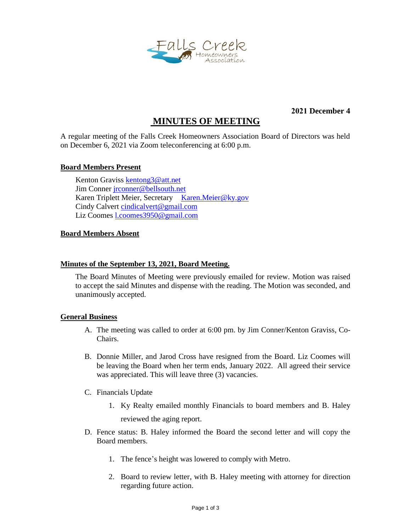

**2021 December 4**

# **MINUTES OF MEETING**

A regular meeting of the Falls Creek Homeowners Association Board of Directors was held on December 6, 2021 via Zoom teleconferencing at 6:00 p.m.

## **Board Members Present**

Kenton Graviss [kentong3@att.net](mailto:kentong3@att.net) Jim Conne[r jrconner@bellsouth.net](mailto:jrconner@bellsouth.net) Karen Triplett Meier, Secretary [Karen.Meier@ky.gov](mailto:Karen.Meier@ky.gov) Cindy Calvert [cindicalvert@gmail.com](mailto:cindicalvert@gmail.com) Liz Coomes [l.coomes3950@gmail.com](mailto:l.coomes3950@gmail.com)

## **Board Members Absent**

## **Minutes of the September 13, 2021, Board Meeting.**

The Board Minutes of Meeting were previously emailed for review. Motion was raised to accept the said Minutes and dispense with the reading. The Motion was seconded, and unanimously accepted.

#### **General Business**

- A. The meeting was called to order at 6:00 pm. by Jim Conner/Kenton Graviss, Co-Chairs.
- B. Donnie Miller, and Jarod Cross have resigned from the Board. Liz Coomes will be leaving the Board when her term ends, January 2022. All agreed their service was appreciated. This will leave three (3) vacancies.
- C. Financials Update
	- 1. Ky Realty emailed monthly Financials to board members and B. Haley reviewed the aging report.
- D. Fence status: B. Haley informed the Board the second letter and will copy the Board members.
	- 1. The fence's height was lowered to comply with Metro.
	- 2. Board to review letter, with B. Haley meeting with attorney for direction regarding future action.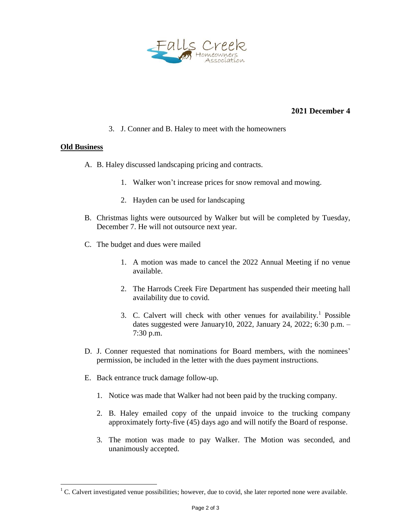

# **2021 December 4**

3. J. Conner and B. Haley to meet with the homeowners

## **Old Business**

 $\overline{a}$ 

- A. B. Haley discussed landscaping pricing and contracts.
	- 1. Walker won't increase prices for snow removal and mowing.
	- 2. Hayden can be used for landscaping
- B. Christmas lights were outsourced by Walker but will be completed by Tuesday, December 7. He will not outsource next year.
- C. The budget and dues were mailed
	- 1. A motion was made to cancel the 2022 Annual Meeting if no venue available.
	- 2. The Harrods Creek Fire Department has suspended their meeting hall availability due to covid.
	- 3. C. Calvert will check with other venues for availability.<sup>1</sup> Possible dates suggested were January10, 2022, January 24, 2022; 6:30 p.m. – 7:30 p.m.
- D. J. Conner requested that nominations for Board members, with the nominees' permission, be included in the letter with the dues payment instructions.
- E. Back entrance truck damage follow-up.
	- 1. Notice was made that Walker had not been paid by the trucking company.
	- 2. B. Haley emailed copy of the unpaid invoice to the trucking company approximately forty-five (45) days ago and will notify the Board of response.
	- 3. The motion was made to pay Walker. The Motion was seconded, and unanimously accepted.

 $1 \text{ C}$ . Calvert investigated venue possibilities; however, due to covid, she later reported none were available.